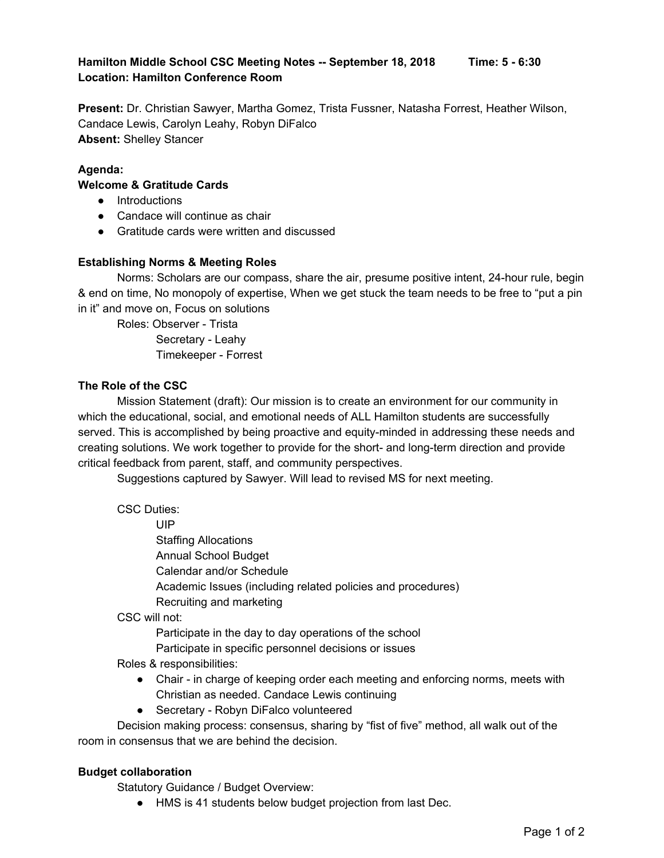# **Hamilton Middle School CSC Meeting Notes -- September 18, 2018 Time: 5 - 6:30 Location: Hamilton Conference Room**

**Present:** Dr. Christian Sawyer, Martha Gomez, Trista Fussner, Natasha Forrest, Heather Wilson, Candace Lewis, Carolyn Leahy, Robyn DiFalco **Absent:** Shelley Stancer

## **Agenda:**

## **Welcome & Gratitude Cards**

- Introductions
- Candace will continue as chair
- Gratitude cards were written and discussed

## **Establishing Norms & Meeting Roles**

Norms: Scholars are our compass, share the air, presume positive intent, 24-hour rule, begin & end on time, No monopoly of expertise, When we get stuck the team needs to be free to "put a pin in it" and move on, Focus on solutions

Roles: Observer - Trista

Secretary - Leahy Timekeeper - Forrest

#### **The Role of the CSC**

Mission Statement (draft): Our mission is to create an environment for our community in which the educational, social, and emotional needs of ALL Hamilton students are successfully served. This is accomplished by being proactive and equity-minded in addressing these needs and creating solutions. We work together to provide for the short- and long-term direction and provide critical feedback from parent, staff, and community perspectives.

Suggestions captured by Sawyer. Will lead to revised MS for next meeting.

CSC Duties:

UIP

Staffing Allocations Annual School Budget Calendar and/or Schedule Academic Issues (including related policies and procedures) Recruiting and marketing

### CSC will not:

Participate in the day to day operations of the school

Participate in specific personnel decisions or issues

Roles & responsibilities:

- Chair in charge of keeping order each meeting and enforcing norms, meets with Christian as needed. Candace Lewis continuing
- Secretary Robyn DiFalco volunteered

Decision making process: consensus, sharing by "fist of five" method, all walk out of the room in consensus that we are behind the decision.

#### **Budget collaboration**

Statutory Guidance / Budget Overview:

● HMS is 41 students below budget projection from last Dec.